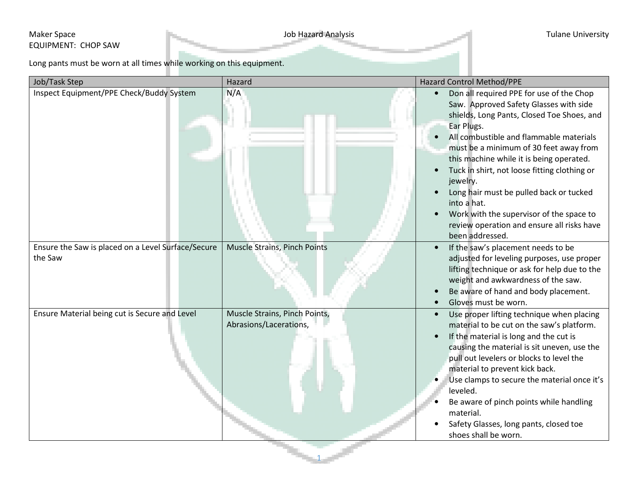## Maker Space **Maker Space** Tulane University EQUIPMENT: CHOP SAW

Long pants must be worn at all times while working on this equipment.

| Inspect Equipment/PPE Check/Buddy System<br>N/A<br>Don all required PPE for use of the Chop<br>Saw. Approved Safety Glasses with side<br>shields, Long Pants, Closed Toe Shoes, and<br>Ear Plugs.<br>All combustible and flammable materials<br>must be a minimum of 30 feet away from<br>this machine while it is being operated.<br>Tuck in shirt, not loose fitting clothing or<br>jewelry.<br>Long hair must be pulled back or tucked<br>into a hat.<br>Work with the supervisor of the space to<br>review operation and ensure all risks have<br>been addressed.<br>Ensure the Saw is placed on a Level Surface/Secure<br>Muscle Strains, Pinch Points<br>If the saw's placement needs to be<br>$\bullet$<br>the Saw<br>adjusted for leveling purposes, use proper<br>lifting technique or ask for help due to the<br>weight and awkwardness of the saw.<br>Be aware of hand and body placement.<br>Gloves must be worn.<br>Ensure Material being cut is Secure and Level<br>Muscle Strains, Pinch Points,<br>Use proper lifting technique when placing<br>$\bullet$<br>Abrasions/Lacerations,<br>material to be cut on the saw's platform.<br>If the material is long and the cut is<br>causing the material is sit uneven, use the<br>pull out levelers or blocks to level the<br>material to prevent kick back.<br>Use clamps to secure the material once it's<br>leveled.<br>Be aware of pinch points while handling<br>material.<br>Safety Glasses, long pants, closed toe<br>shoes shall be worn. | Job/Task Step | Hazard | Hazard Control Method/PPE |
|--------------------------------------------------------------------------------------------------------------------------------------------------------------------------------------------------------------------------------------------------------------------------------------------------------------------------------------------------------------------------------------------------------------------------------------------------------------------------------------------------------------------------------------------------------------------------------------------------------------------------------------------------------------------------------------------------------------------------------------------------------------------------------------------------------------------------------------------------------------------------------------------------------------------------------------------------------------------------------------------------------------------------------------------------------------------------------------------------------------------------------------------------------------------------------------------------------------------------------------------------------------------------------------------------------------------------------------------------------------------------------------------------------------------------------------------------------------------------------------------------------------|---------------|--------|---------------------------|
|                                                                                                                                                                                                                                                                                                                                                                                                                                                                                                                                                                                                                                                                                                                                                                                                                                                                                                                                                                                                                                                                                                                                                                                                                                                                                                                                                                                                                                                                                                              |               |        |                           |
|                                                                                                                                                                                                                                                                                                                                                                                                                                                                                                                                                                                                                                                                                                                                                                                                                                                                                                                                                                                                                                                                                                                                                                                                                                                                                                                                                                                                                                                                                                              |               |        |                           |
|                                                                                                                                                                                                                                                                                                                                                                                                                                                                                                                                                                                                                                                                                                                                                                                                                                                                                                                                                                                                                                                                                                                                                                                                                                                                                                                                                                                                                                                                                                              |               |        |                           |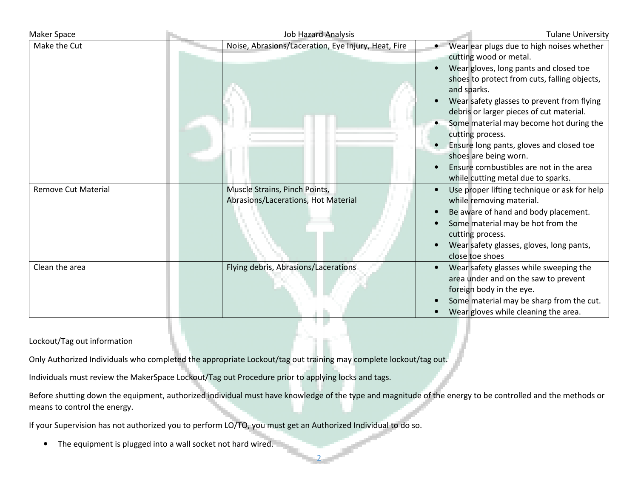| Maker Space                | Job Hazard Analysis                                                  | <b>Tulane University</b>                                                                                                                                                                                                                                                                                                                                                                                                                                                                    |
|----------------------------|----------------------------------------------------------------------|---------------------------------------------------------------------------------------------------------------------------------------------------------------------------------------------------------------------------------------------------------------------------------------------------------------------------------------------------------------------------------------------------------------------------------------------------------------------------------------------|
| Make the Cut               | Noise, Abrasions/Laceration, Eye Injury, Heat, Fire                  | Wear ear plugs due to high noises whether<br>cutting wood or metal.<br>Wear gloves, long pants and closed toe<br>shoes to protect from cuts, falling objects,<br>and sparks.<br>Wear safety glasses to prevent from flying<br>debris or larger pieces of cut material.<br>Some material may become hot during the<br>cutting process.<br>Ensure long pants, gloves and closed toe<br>shoes are being worn.<br>Ensure combustibles are not in the area<br>while cutting metal due to sparks. |
| <b>Remove Cut Material</b> | Muscle Strains, Pinch Points,<br>Abrasions/Lacerations, Hot Material | Use proper lifting technique or ask for help<br>while removing material.<br>Be aware of hand and body placement.<br>Some material may be hot from the<br>cutting process.<br>Wear safety glasses, gloves, long pants,<br>close toe shoes                                                                                                                                                                                                                                                    |
| Clean the area             | Flying debris, Abrasions/Lacerations                                 | Wear safety glasses while sweeping the<br>area under and on the saw to prevent<br>foreign body in the eye.<br>Some material may be sharp from the cut.<br>Wear gloves while cleaning the area.                                                                                                                                                                                                                                                                                              |

## Lockout/Tag out information

Only Authorized Individuals who completed the appropriate Lockout/tag out training may complete lockout/tag out.

Individuals must review the MakerSpace Lockout/Tag out Procedure prior to applying locks and tags.

Before shutting down the equipment, authorized individual must have knowledge of the type and magnitude of the energy to be controlled and the methods or means to control the energy.

2

If your Supervision has not authorized you to perform LO/TO, you must get an Authorized Individual to do so.

• The equipment is plugged into a wall socket not hard wired.